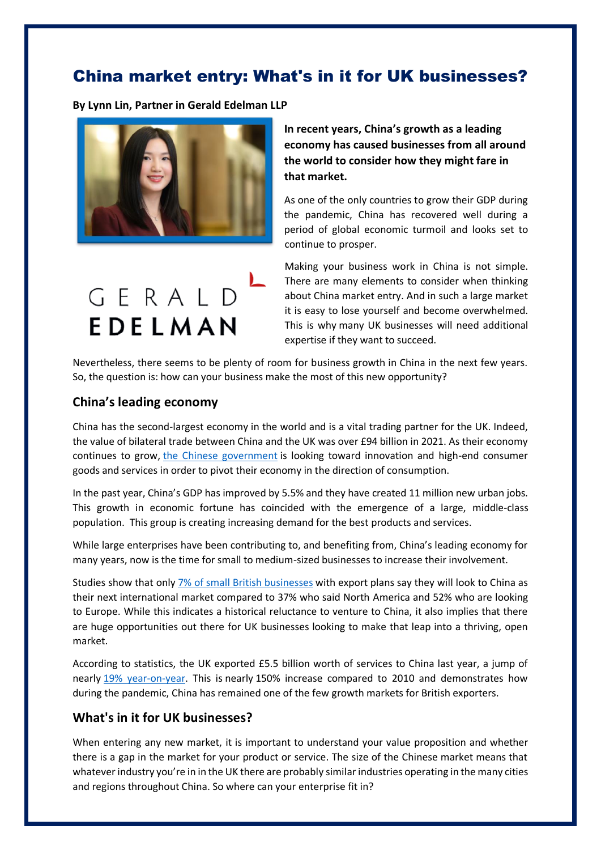## China market entry: What's in it for UK businesses?

**By Lynn Lin, Partner in Gerald Edelman LLP**



**In recent years, China's growth as a leading economy has caused businesses from all around the world to consider how they might fare in that market.**

As one of the only countries to grow their GDP during the pandemic, China has recovered well during a period of global economic turmoil and looks set to continue to prosper.

GERALD EDELMAN

Making your business work in China is not simple. There are many elements to consider when thinking about China market entry. And in such a large market it is easy to lose yourself and become overwhelmed. This is why many UK businesses will need additional expertise if they want to succeed.

Nevertheless, there seems to be plenty of room for business growth in China in the next few years. So, the question is: how can your business make the most of this new opportunity?

## **China's leading economy**

China has the second-largest economy in the world and is a vital trading partner for the UK. Indeed, the value of bilateral trade between China and the UK was over £94 billion in 2021. As their economy continues to grow, [the Chinese government](https://focus.cbbc.org/what-is-in-the-two-sessions-2022-government-work-report/#.Yj7eF-fP0uU) is looking toward innovation and high-end consumer goods and services in order to pivot their economy in the direction of consumption.

In the past year, China's GDP has improved by 5.5% and they have created 11 million new urban jobs. This growth in economic fortune has coincided with the emergence of a large, middle-class population. This group is creating increasing demand for the best products and services.

While large enterprises have been contributing to, and benefiting from, China's leading economy for many years, now is the time for small to medium-sized businesses to increase their involvement.

Studies show that only [7% of small British businesses](https://focus.cbbc.org/why-more-british-companies-should-be-looking-to-export/#.Yk61W5rMK3J) with export plans say they will look to China as their next international market compared to 37% who said North America and 52% who are looking to Europe. While this indicates a historical reluctance to venture to China, it also implies that there are huge opportunities out there for UK businesses looking to make that leap into a thriving, open market.

According to statistics, the UK exported £5.5 billion worth of services to China last year, a jump of nearly [19% year-on-year.](https://www.brookings.edu/articles/chinas-digital-services-trade-and-data-governance-how-should-the-united-states-respond/) This is nearly 150% increase compared to 2010 and demonstrates how during the pandemic, China has remained one of the few growth markets for British exporters.

## **What's in it for UK businesses?**

When entering any new market, it is important to understand your value proposition and whether there is a gap in the market for your product or service. The size of the Chinese market means that whatever industry you're in in the UK there are probably similar industries operating in the many cities and regions throughout China. So where can your enterprise fit in?